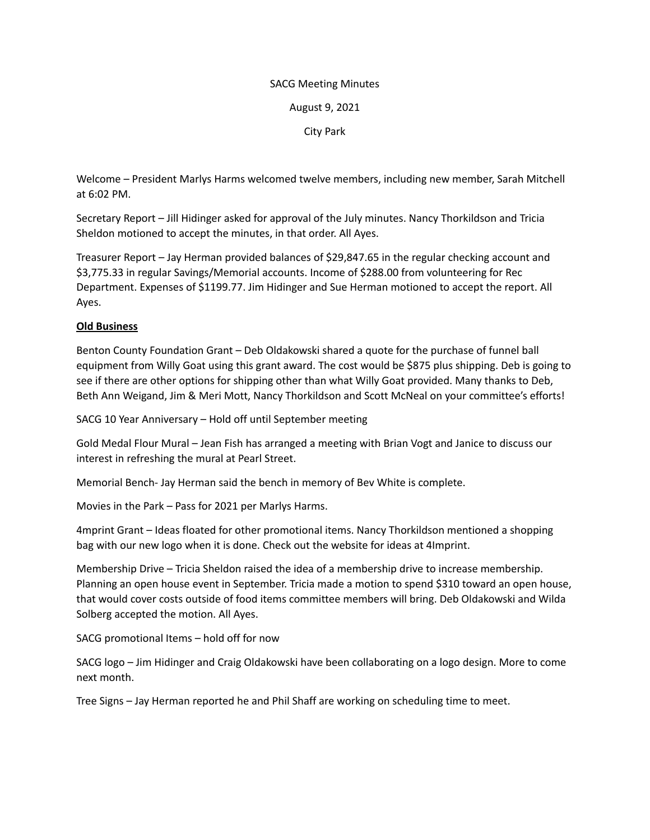## SACG Meeting Minutes

August 9, 2021

City Park

Welcome – President Marlys Harms welcomed twelve members, including new member, Sarah Mitchell at 6:02 PM.

Secretary Report – Jill Hidinger asked for approval of the July minutes. Nancy Thorkildson and Tricia Sheldon motioned to accept the minutes, in that order. All Ayes.

Treasurer Report – Jay Herman provided balances of \$29,847.65 in the regular checking account and \$3,775.33 in regular Savings/Memorial accounts. Income of \$288.00 from volunteering for Rec Department. Expenses of \$1199.77. Jim Hidinger and Sue Herman motioned to accept the report. All Ayes.

## **Old Business**

Benton County Foundation Grant – Deb Oldakowski shared a quote for the purchase of funnel ball equipment from Willy Goat using this grant award. The cost would be \$875 plus shipping. Deb is going to see if there are other options for shipping other than what Willy Goat provided. Many thanks to Deb, Beth Ann Weigand, Jim & Meri Mott, Nancy Thorkildson and Scott McNeal on your committee's efforts!

SACG 10 Year Anniversary – Hold off until September meeting

Gold Medal Flour Mural – Jean Fish has arranged a meeting with Brian Vogt and Janice to discuss our interest in refreshing the mural at Pearl Street.

Memorial Bench- Jay Herman said the bench in memory of Bev White is complete.

Movies in the Park – Pass for 2021 per Marlys Harms.

4mprint Grant – Ideas floated for other promotional items. Nancy Thorkildson mentioned a shopping bag with our new logo when it is done. Check out the website for ideas at 4Imprint.

Membership Drive – Tricia Sheldon raised the idea of a membership drive to increase membership. Planning an open house event in September. Tricia made a motion to spend \$310 toward an open house, that would cover costs outside of food items committee members will bring. Deb Oldakowski and Wilda Solberg accepted the motion. All Ayes.

SACG promotional Items – hold off for now

SACG logo – Jim Hidinger and Craig Oldakowski have been collaborating on a logo design. More to come next month.

Tree Signs – Jay Herman reported he and Phil Shaff are working on scheduling time to meet.